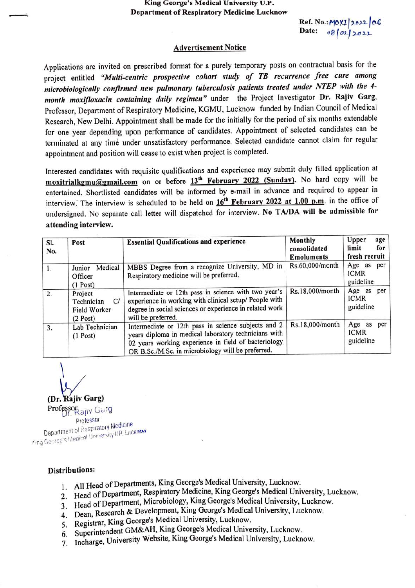## King George's Medical University U.P. Department of Respiratory Medicine Lucknow

 $Ref. No.:M0X1 | 2022 | 06$ Date:  $08/02/2022$ 

## Advertisement Notice

Applications are invited on prescribed format for a purely temporary posts on contractual basis for the project entitled "Multi-centric prospective cohort study of TB recurrence free cure among microbiologically confirmed new pulmonary tuberculosis patients treated under NTEP with the 4 month moxifloxacin containing daily regimen" under the Project Investigator Dr. Rajiv Garg, Professor, Department of Respiratory Medicine, KGMU, Lucknow funded by Indian Council of Medical Research, New Delhi. Appointment shall be made for the initially for the period of six months extendable for one year depending upon performance of candidates. Appointment of selected candidates can be terminated at any time under unsatisfactory performance. Selected candidate cannot claim for regular appointment and position will cease to exist when project is completed.

Interested candidates with requisite qualifications and experience may submit duly filled application at moxitrialkgmu@gmail.com on or before 13<sup>th</sup> February 2022 (Sunday). No hard copy will be entertained. Shortlisted candidates will be informed by e-mail in advance and required to appear in interview. The interview is scheduled to be held on  $16^{th}$  February 2022 at 1.00 p.m. in the office of undersigned. No separate call letter will dispatched for interview. No TA/DA will be admissible for attending interview.

| SI.<br>No. | Post                                                      | <b>Essential Qualifications and experience</b>                                                                                                                                                                           | Monthly<br>consolidated<br><b>Emoluments</b> | Upper<br>age<br>for<br>limit<br>fresh recruit |
|------------|-----------------------------------------------------------|--------------------------------------------------------------------------------------------------------------------------------------------------------------------------------------------------------------------------|----------------------------------------------|-----------------------------------------------|
| 1.         | Medical<br>Junior<br>Officer<br>$(1$ Post)                | MBBS Degree from a recognize University, MD in<br>Respiratory medicine will be preferred.                                                                                                                                | Rs.60,000/month                              | Age as per<br><b>ICMR</b><br>guideline        |
| 2.         | Project<br>C/<br>Technician<br>Field Worker<br>$(2$ Post) | Intermediate or 12th pass in science with two year's<br>experience in working with clinical setup/ People with<br>degree in social sciences or experience in related work<br>will be preferred.                          | Rs.18,000/month                              | Age as per<br><b>ICMR</b><br>guideline        |
| 3.         | Lab Technician<br>$(1$ Post)                              | Intermediate or 12th pass in science subjects and 2<br>years diploma in medical laboratory technicians with<br>02 years working experience in field of bacteriology<br>OR B.Sc./M.Sc. in microbiology will be preferred. | Rs.18,000/month                              | Age as<br>per<br><b>ICMR</b><br>guideline     |

(Dr. Rajiv Garg) Professor<br>Professor<br>Professor

Department of Respiratory Medicine iring George's:Medical University UP, Lucknew

## Distributions:

- 1. All Head of Departments, King George's Medical University, Lucknow.
- 2. Head of Department, Respiratory Medicine, King George's Medical University, Lucknow.
- 3. Head of Department, Microbiology, King George's Medical University, Lucknow.
- 4. Dean, Research & Development,King George's Medical University, Lucknow.
- 5. Registrar, King George's Medical University, Lucknow.
- 6. Superintendent GM&AH, King George's Medical University, Lucknow,
- 7. Incharge, University Website, King George's Medical University, Lucknow.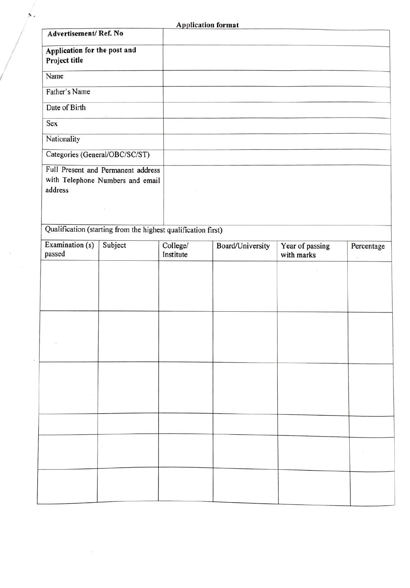| <b>Application format</b> |  |
|---------------------------|--|

| Advertisement/Ref. No                         |                                                                        |                       |                  |                               |            |
|-----------------------------------------------|------------------------------------------------------------------------|-----------------------|------------------|-------------------------------|------------|
| Application for the post and<br>Project title |                                                                        |                       |                  |                               |            |
| Name                                          |                                                                        |                       |                  |                               |            |
| Father's Name                                 |                                                                        |                       |                  |                               |            |
| Date of Birth                                 |                                                                        |                       |                  |                               |            |
| Sex                                           |                                                                        |                       |                  |                               |            |
| Nationality                                   |                                                                        |                       |                  |                               |            |
|                                               | Categories (General/OBC/SC/ST)                                         |                       |                  |                               |            |
| address                                       | Full Present and Permanent address<br>with Telephone Numbers and email |                       |                  |                               |            |
|                                               |                                                                        |                       |                  |                               |            |
|                                               | Qualification (starting from the highest qualification first)          |                       |                  |                               |            |
| Examination (s)<br>passed                     | Subject                                                                | College/<br>Institute | Board/University | Year of passing<br>with marks | Percentage |
|                                               |                                                                        |                       |                  |                               |            |
|                                               |                                                                        |                       |                  |                               |            |
|                                               |                                                                        |                       |                  |                               |            |
|                                               |                                                                        |                       |                  |                               |            |
|                                               |                                                                        |                       |                  |                               |            |
|                                               |                                                                        |                       |                  |                               |            |
|                                               |                                                                        |                       |                  |                               |            |
|                                               |                                                                        |                       |                  |                               |            |
| $\sim$                                        |                                                                        |                       |                  |                               |            |
|                                               |                                                                        |                       |                  |                               |            |
|                                               |                                                                        |                       |                  |                               |            |
|                                               |                                                                        |                       |                  |                               |            |
|                                               |                                                                        |                       |                  |                               |            |
|                                               |                                                                        |                       |                  |                               |            |